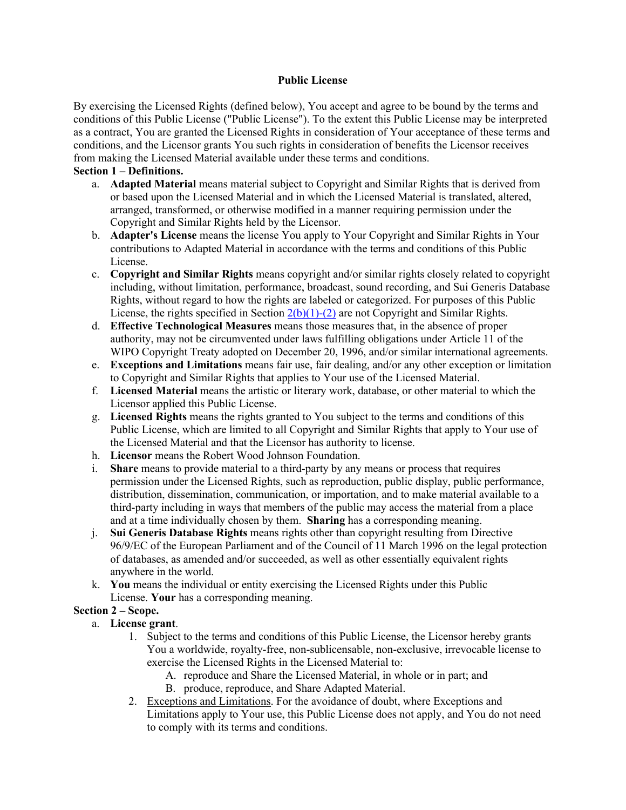#### **Public License**

By exercising the Licensed Rights (defined below), You accept and agree to be bound by the terms and conditions of this Public License ("Public License"). To the extent this Public License may be interpreted as a contract, You are granted the Licensed Rights in consideration of Your acceptance of these terms and conditions, and the Licensor grants You such rights in consideration of benefits the Licensor receives from making the Licensed Material available under these terms and conditions.

### **Section 1 – Definitions.**

- a. **Adapted Material** means material subject to Copyright and Similar Rights that is derived from or based upon the Licensed Material and in which the Licensed Material is translated, altered, arranged, transformed, or otherwise modified in a manner requiring permission under the Copyright and Similar Rights held by the Licensor.
- b. **Adapter's License** means the license You apply to Your Copyright and Similar Rights in Your contributions to Adapted Material in accordance with the terms and conditions of this Public License.
- c. **Copyright and Similar Rights** means copyright and/or similar rights closely related to copyright including, without limitation, performance, broadcast, sound recording, and Sui Generis Database Rights, without regard to how the rights are labeled or categorized. For purposes of this Public License, the rights specified in Section  $2(b)(1)-(2)$  are not Copyright and Similar Rights.
- d. **Effective Technological Measures** means those measures that, in the absence of proper authority, may not be circumvented under laws fulfilling obligations under Article 11 of the WIPO Copyright Treaty adopted on December 20, 1996, and/or similar international agreements.
- e. **Exceptions and Limitations** means fair use, fair dealing, and/or any other exception or limitation to Copyright and Similar Rights that applies to Your use of the Licensed Material.
- f. **Licensed Material** means the artistic or literary work, database, or other material to which the Licensor applied this Public License.
- g. **Licensed Rights** means the rights granted to You subject to the terms and conditions of this Public License, which are limited to all Copyright and Similar Rights that apply to Your use of the Licensed Material and that the Licensor has authority to license.
- h. **Licensor** means the Robert Wood Johnson Foundation.
- i. **Share** means to provide material to a third-party by any means or process that requires permission under the Licensed Rights, such as reproduction, public display, public performance, distribution, dissemination, communication, or importation, and to make material available to a third-party including in ways that members of the public may access the material from a place and at a time individually chosen by them. **Sharing** has a corresponding meaning.
- j. **Sui Generis Database Rights** means rights other than copyright resulting from Directive 96/9/EC of the European Parliament and of the Council of 11 March 1996 on the legal protection of databases, as amended and/or succeeded, as well as other essentially equivalent rights anywhere in the world.
- k. **You** means the individual or entity exercising the Licensed Rights under this Public License. **Your** has a corresponding meaning.

# **Section 2 – Scope.**

- a. **License grant**.
	- 1. Subject to the terms and conditions of this Public License, the Licensor hereby grants You a worldwide, royalty-free, non-sublicensable, non-exclusive, irrevocable license to exercise the Licensed Rights in the Licensed Material to:
		- A. reproduce and Share the Licensed Material, in whole or in part; and
		- B. produce, reproduce, and Share Adapted Material.
	- 2. Exceptions and Limitations. For the avoidance of doubt, where Exceptions and Limitations apply to Your use, this Public License does not apply, and You do not need to comply with its terms and conditions.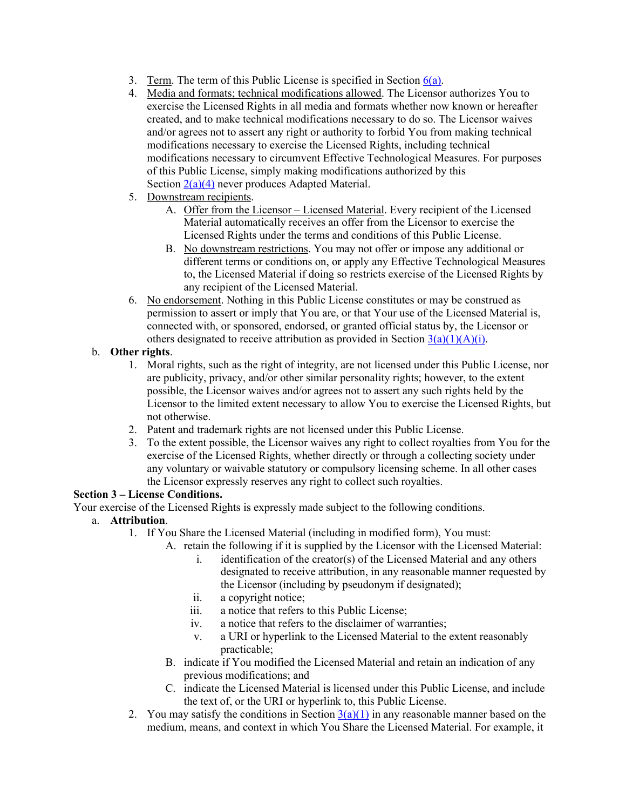- 3. Term. The term of this Public License is specified in Section  $6(a)$ .
- 4. Media and formats; technical modifications allowed. The Licensor authorizes You to exercise the Licensed Rights in all media and formats whether now known or hereafter created, and to make technical modifications necessary to do so. The Licensor waives and/or agrees not to assert any right or authority to forbid You from making technical modifications necessary to exercise the Licensed Rights, including technical modifications necessary to circumvent Effective Technological Measures. For purposes of this Public License, simply making modifications authorized by this Section 2(a)(4) never produces Adapted Material.
- 5. Downstream recipients.
	- A. Offer from the Licensor Licensed Material. Every recipient of the Licensed Material automatically receives an offer from the Licensor to exercise the Licensed Rights under the terms and conditions of this Public License.
	- B. No downstream restrictions. You may not offer or impose any additional or different terms or conditions on, or apply any Effective Technological Measures to, the Licensed Material if doing so restricts exercise of the Licensed Rights by any recipient of the Licensed Material.
- 6. No endorsement. Nothing in this Public License constitutes or may be construed as permission to assert or imply that You are, or that Your use of the Licensed Material is, connected with, or sponsored, endorsed, or granted official status by, the Licensor or others designated to receive attribution as provided in Section  $3(a)(1)(A)(i)$ .

# b. **Other rights**.

- 1. Moral rights, such as the right of integrity, are not licensed under this Public License, nor are publicity, privacy, and/or other similar personality rights; however, to the extent possible, the Licensor waives and/or agrees not to assert any such rights held by the Licensor to the limited extent necessary to allow You to exercise the Licensed Rights, but not otherwise.
- 2. Patent and trademark rights are not licensed under this Public License.
- 3. To the extent possible, the Licensor waives any right to collect royalties from You for the exercise of the Licensed Rights, whether directly or through a collecting society under any voluntary or waivable statutory or compulsory licensing scheme. In all other cases the Licensor expressly reserves any right to collect such royalties.

### **Section 3 – License Conditions.**

Your exercise of the Licensed Rights is expressly made subject to the following conditions.

- a. **Attribution**.
	- 1. If You Share the Licensed Material (including in modified form), You must:
		- A. retain the following if it is supplied by the Licensor with the Licensed Material:
			- i. identification of the creator(s) of the Licensed Material and any others designated to receive attribution, in any reasonable manner requested by the Licensor (including by pseudonym if designated);
			- ii. a copyright notice;
			- iii. a notice that refers to this Public License;
			- iv. a notice that refers to the disclaimer of warranties;
			- v. a URI or hyperlink to the Licensed Material to the extent reasonably practicable;
		- B. indicate if You modified the Licensed Material and retain an indication of any previous modifications; and
		- C. indicate the Licensed Material is licensed under this Public License, and include the text of, or the URI or hyperlink to, this Public License.
	- 2. You may satisfy the conditions in Section  $3(a)(1)$  in any reasonable manner based on the medium, means, and context in which You Share the Licensed Material. For example, it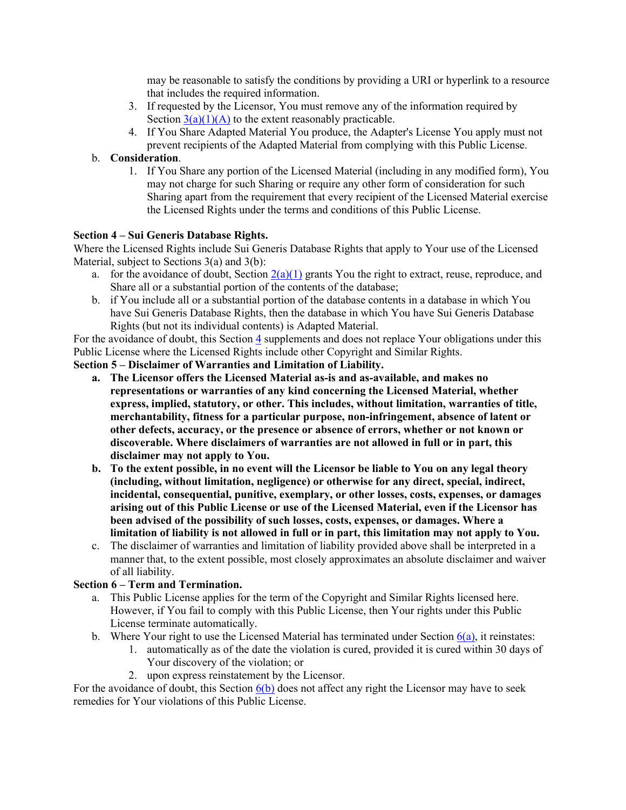may be reasonable to satisfy the conditions by providing a URI or hyperlink to a resource that includes the required information.

- 3. If requested by the Licensor, You must remove any of the information required by Section  $3(a)(1)(A)$  to the extent reasonably practicable.
- 4. If You Share Adapted Material You produce, the Adapter's License You apply must not prevent recipients of the Adapted Material from complying with this Public License.

### b. **Consideration**.

1. If You Share any portion of the Licensed Material (including in any modified form), You may not charge for such Sharing or require any other form of consideration for such Sharing apart from the requirement that every recipient of the Licensed Material exercise the Licensed Rights under the terms and conditions of this Public License.

### **Section 4 – Sui Generis Database Rights.**

Where the Licensed Rights include Sui Generis Database Rights that apply to Your use of the Licensed Material, subject to Sections 3(a) and 3(b):

- a. for the avoidance of doubt, Section  $2(a)(1)$  grants You the right to extract, reuse, reproduce, and Share all or a substantial portion of the contents of the database;
- b. if You include all or a substantial portion of the database contents in a database in which You have Sui Generis Database Rights, then the database in which You have Sui Generis Database Rights (but not its individual contents) is Adapted Material.

For the avoidance of doubt, this Section 4 supplements and does not replace Your obligations under this Public License where the Licensed Rights include other Copyright and Similar Rights.

**Section 5 – Disclaimer of Warranties and Limitation of Liability.**

- **a. The Licensor offers the Licensed Material as-is and as-available, and makes no representations or warranties of any kind concerning the Licensed Material, whether express, implied, statutory, or other. This includes, without limitation, warranties of title, merchantability, fitness for a particular purpose, non-infringement, absence of latent or other defects, accuracy, or the presence or absence of errors, whether or not known or discoverable. Where disclaimers of warranties are not allowed in full or in part, this disclaimer may not apply to You.**
- **b. To the extent possible, in no event will the Licensor be liable to You on any legal theory (including, without limitation, negligence) or otherwise for any direct, special, indirect, incidental, consequential, punitive, exemplary, or other losses, costs, expenses, or damages arising out of this Public License or use of the Licensed Material, even if the Licensor has been advised of the possibility of such losses, costs, expenses, or damages. Where a limitation of liability is not allowed in full or in part, this limitation may not apply to You.**
- c. The disclaimer of warranties and limitation of liability provided above shall be interpreted in a manner that, to the extent possible, most closely approximates an absolute disclaimer and waiver of all liability.

### **Section 6 – Term and Termination.**

- a. This Public License applies for the term of the Copyright and Similar Rights licensed here. However, if You fail to comply with this Public License, then Your rights under this Public License terminate automatically.
- b. Where Your right to use the Licensed Material has terminated under Section  $6(a)$ , it reinstates:
	- 1. automatically as of the date the violation is cured, provided it is cured within 30 days of Your discovery of the violation; or
	- 2. upon express reinstatement by the Licensor.

For the avoidance of doubt, this Section  $6(b)$  does not affect any right the Licensor may have to seek remedies for Your violations of this Public License.